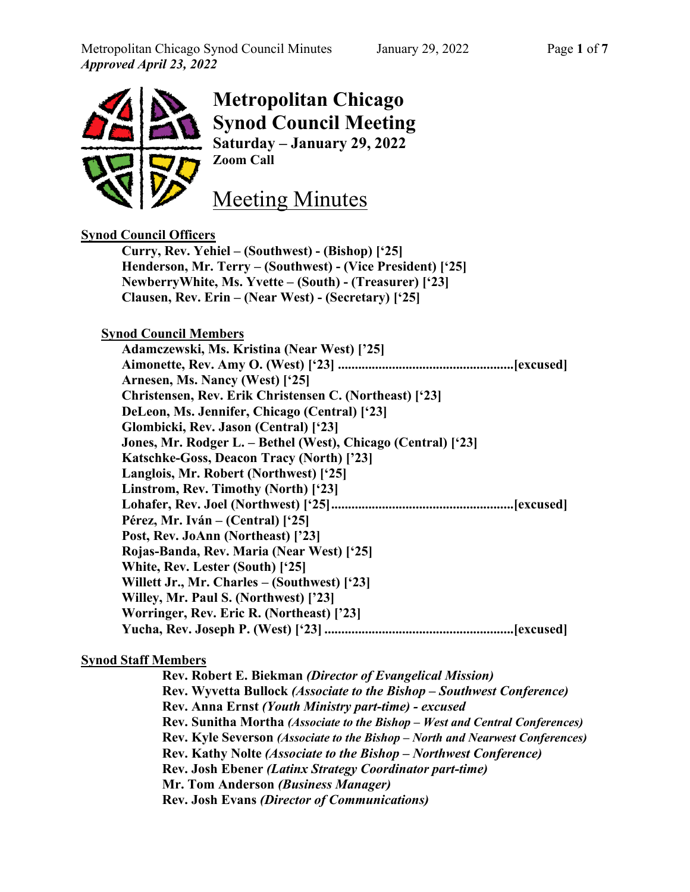

# **Metropolitan Chicago Synod Council Meeting Saturday – January 29, 2022 Zoom Call**

Meeting Minutes

## **Synod Council Officers Curry, Rev. Yehiel – (Southwest) - (Bishop) ['25] Henderson, Mr. Terry – (Southwest) - (Vice President) ['25] NewberryWhite, Ms. Yvette – (South) - (Treasurer) ['23] Clausen, Rev. Erin – (Near West) - (Secretary) ['25]**

## **Synod Council Members**

| Adamczewski, Ms. Kristina (Near West) ['25]                   |
|---------------------------------------------------------------|
|                                                               |
| Arnesen, Ms. Nancy (West) ['25]                               |
| Christensen, Rev. Erik Christensen C. (Northeast) ['23]       |
| DeLeon, Ms. Jennifer, Chicago (Central) ['23]                 |
| Glombicki, Rev. Jason (Central) ['23]                         |
| Jones, Mr. Rodger L. – Bethel (West), Chicago (Central) ['23] |
| Katschke-Goss, Deacon Tracy (North) ['23]                     |
| Langlois, Mr. Robert (Northwest) ['25]                        |
| Linstrom, Rev. Timothy (North) ['23]                          |
|                                                               |
| Pérez, Mr. Iván – (Central) ['25]                             |
| Post, Rev. JoAnn (Northeast) ['23]                            |
| Rojas-Banda, Rev. Maria (Near West) ['25]                     |
| White, Rev. Lester (South) ['25]                              |
| Willett Jr., Mr. Charles – (Southwest) ['23]                  |
| Willey, Mr. Paul S. (Northwest) ['23]                         |
| Worringer, Rev. Eric R. (Northeast) ['23]                     |
|                                                               |

#### **Synod Staff Members**

**Rev. Robert E. Biekman** *(Director of Evangelical Mission)* **Rev. Wyvetta Bullock** *(Associate to the Bishop – Southwest Conference)* **Rev. Anna Ernst** *(Youth Ministry part-time) - excused* **Rev. Sunitha Mortha** *(Associate to the Bishop – West and Central Conferences)* **Rev. Kyle Severson** *(Associate to the Bishop – North and Nearwest Conferences)* **Rev. Kathy Nolte** *(Associate to the Bishop – Northwest Conference)* **Rev. Josh Ebener** *(Latinx Strategy Coordinator part-time)* **Mr. Tom Anderson** *(Business Manager)* **Rev. Josh Evans** *(Director of Communications)*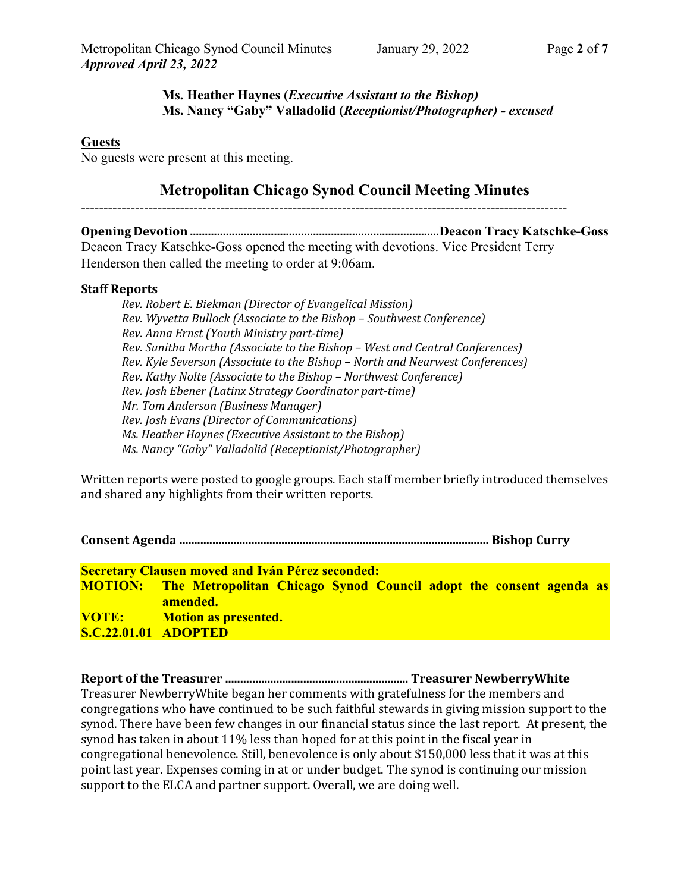## **Ms. Heather Haynes (***Executive Assistant to the Bishop)* **Ms. Nancy "Gaby" Valladolid (***Receptionist/Photographer) - excused*

### **Guests**

No guests were present at this meeting.

## **Metropolitan Chicago Synod Council Meeting Minutes**

------------------------------------------------------------------------------------------------------------

**Opening Devotion ...................................................................................Deacon Tracy Katschke-Goss** Deacon Tracy Katschke-Goss opened the meeting with devotions. Vice President Terry Henderson then called the meeting to order at 9:06am.

#### **Staff Reports**

*Rev. Robert E. Biekman (Director of Evangelical Mission) Rev. Wyvetta Bullock (Associate to the Bishop – Southwest Conference) Rev. Anna Ernst (Youth Ministry part-time) Rev. Sunitha Mortha (Associate to the Bishop – West and Central Conferences) Rev. Kyle Severson (Associate to the Bishop – North and Nearwest Conferences) Rev. Kathy Nolte (Associate to the Bishop – Northwest Conference) Rev. Josh Ebener (Latinx Strategy Coordinator part-time) Mr. Tom Anderson (Business Manager) Rev. Josh Evans (Director of Communications) Ms. Heather Haynes (Executive Assistant to the Bishop) Ms. Nancy "Gaby" Valladolid (Receptionist/Photographer)*

Written reports were posted to google groups. Each staff member briefly introduced themselves and shared any highlights from their written reports.

**Consent Agenda ....................................................................................................... Bishop Curry** 

**Secretary Clausen moved and Iván Pérez seconded: MOTION: The Metropolitan Chicago Synod Council adopt the consent agenda as amended. VOTE: Motion as presented. S.C.22.01.01 ADOPTED**

**Report of the Treasurer ............................................................. Treasurer NewberryWhite**  Treasurer NewberryWhite began her comments with gratefulness for the members and congregations who have continued to be such faithful stewards in giving mission support to the synod. There have been few changes in our financial status since the last report. At present, the synod has taken in about 11% less than hoped for at this point in the fiscal year in congregational benevolence. Still, benevolence is only about \$150,000 less that it was at this point last year. Expenses coming in at or under budget. The synod is continuing our mission support to the ELCA and partner support. Overall, we are doing well.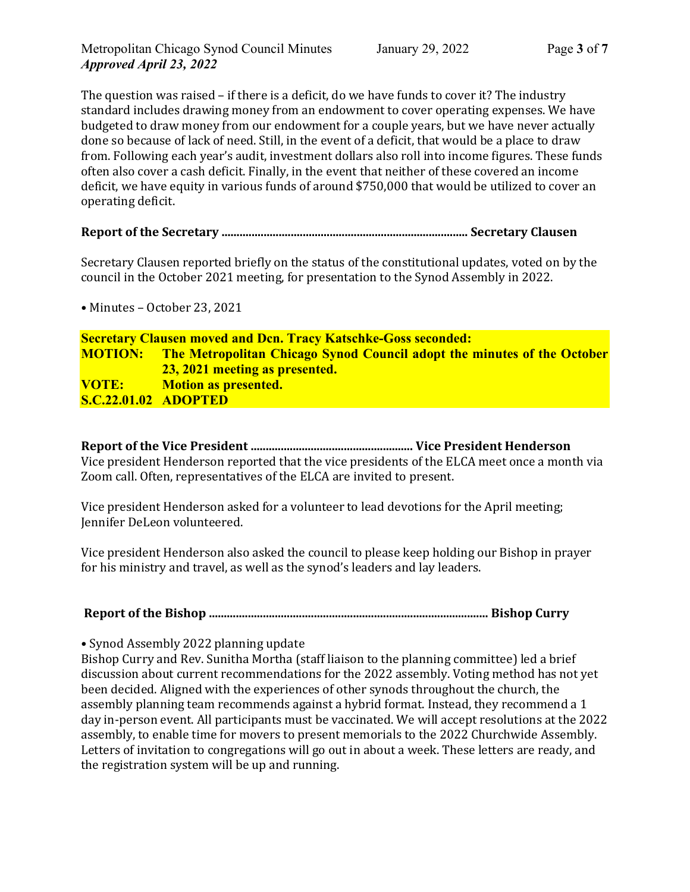The question was raised – if there is a deficit, do we have funds to cover it? The industry standard includes drawing money from an endowment to cover operating expenses. We have budgeted to draw money from our endowment for a couple years, but we have never actually done so because of lack of need. Still, in the event of a deficit, that would be a place to draw from. Following each year's audit, investment dollars also roll into income figures. These funds often also cover a cash deficit. Finally, in the event that neither of these covered an income deficit, we have equity in various funds of around \$750,000 that would be utilized to cover an operating deficit.

## **Report of the Secretary .................................................................................. Secretary Clausen**

Secretary Clausen reported briefly on the status of the constitutional updates, voted on by the council in the October 2021 meeting, for presentation to the Synod Assembly in 2022.

• Minutes – October 23, 2021

## **Secretary Clausen moved and Dcn. Tracy Katschke-Goss seconded: MOTION: The Metropolitan Chicago Synod Council adopt the minutes of the October 23, 2021 meeting as presented. VOTE: Motion as presented. S.C.22.01.02 ADOPTED**

**Report of the Vice President ...................................................... Vice President Henderson** Vice president Henderson reported that the vice presidents of the ELCA meet once a month via Zoom call. Often, representatives of the ELCA are invited to present.

Vice president Henderson asked for a volunteer to lead devotions for the April meeting; Jennifer DeLeon volunteered.

Vice president Henderson also asked the council to please keep holding our Bishop in prayer for his ministry and travel, as well as the synod's leaders and lay leaders.

## **Report of the Bishop ............................................................................................. Bishop Curry**

• Synod Assembly 2022 planning update

Bishop Curry and Rev. Sunitha Mortha (staff liaison to the planning committee) led a brief discussion about current recommendations for the 2022 assembly. Voting method has not yet been decided. Aligned with the experiences of other synods throughout the church, the assembly planning team recommends against a hybrid format. Instead, they recommend a 1 day in-person event. All participants must be vaccinated. We will accept resolutions at the 2022 assembly, to enable time for movers to present memorials to the 2022 Churchwide Assembly. Letters of invitation to congregations will go out in about a week. These letters are ready, and the registration system will be up and running.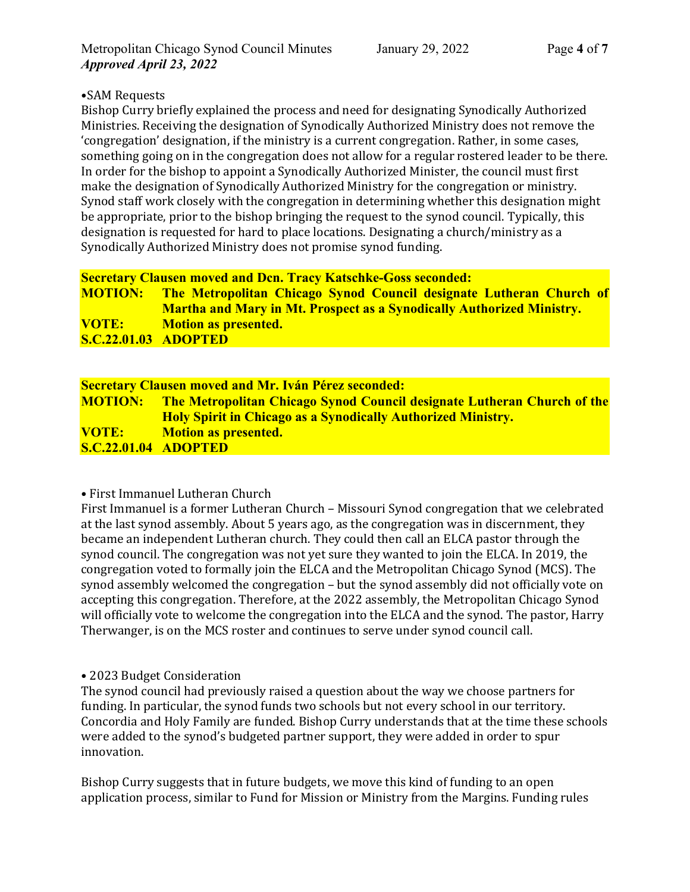## •SAM Requests

Bishop Curry briefly explained the process and need for designating Synodically Authorized Ministries. Receiving the designation of Synodically Authorized Ministry does not remove the 'congregation' designation, if the ministry is a current congregation. Rather, in some cases, something going on in the congregation does not allow for a regular rostered leader to be there. In order for the bishop to appoint a Synodically Authorized Minister, the council must first make the designation of Synodically Authorized Ministry for the congregation or ministry. Synod staff work closely with the congregation in determining whether this designation might be appropriate, prior to the bishop bringing the request to the synod council. Typically, this designation is requested for hard to place locations. Designating a church/ministry as a Synodically Authorized Ministry does not promise synod funding.

## **Secretary Clausen moved and Dcn. Tracy Katschke-Goss seconded:**

| <b>MOTION:</b>              | The Metropolitan Chicago Synod Council designate Lutheran Church of          |
|-----------------------------|------------------------------------------------------------------------------|
|                             | <b>Martha and Mary in Mt. Prospect as a Synodically Authorized Ministry.</b> |
| <b>VOTE:</b>                | Motion as presented.                                                         |
| <b>S.C.22.01.03 ADOPTED</b> |                                                                              |

| <b>Secretary Clausen moved and Mr. Iván Pérez seconded:</b> |                                                                                        |  |
|-------------------------------------------------------------|----------------------------------------------------------------------------------------|--|
|                                                             | <b>MOTION:</b> The Metropolitan Chicago Synod Council designate Lutheran Church of the |  |
|                                                             | <b>Holy Spirit in Chicago as a Synodically Authorized Ministry.</b>                    |  |
| <b>VOTE:</b>                                                | <b>Motion as presented.</b>                                                            |  |
| <b>S.C.22.01.04 ADOPTED</b>                                 |                                                                                        |  |

#### • First Immanuel Lutheran Church

First Immanuel is a former Lutheran Church – Missouri Synod congregation that we celebrated at the last synod assembly. About 5 years ago, as the congregation was in discernment, they became an independent Lutheran church. They could then call an ELCA pastor through the synod council. The congregation was not yet sure they wanted to join the ELCA. In 2019, the congregation voted to formally join the ELCA and the Metropolitan Chicago Synod (MCS). The synod assembly welcomed the congregation – but the synod assembly did not officially vote on accepting this congregation. Therefore, at the 2022 assembly, the Metropolitan Chicago Synod will officially vote to welcome the congregation into the ELCA and the synod. The pastor, Harry Therwanger, is on the MCS roster and continues to serve under synod council call.

#### • 2023 Budget Consideration

The synod council had previously raised a question about the way we choose partners for funding. In particular, the synod funds two schools but not every school in our territory. Concordia and Holy Family are funded. Bishop Curry understands that at the time these schools were added to the synod's budgeted partner support, they were added in order to spur innovation.

Bishop Curry suggests that in future budgets, we move this kind of funding to an open application process, similar to Fund for Mission or Ministry from the Margins. Funding rules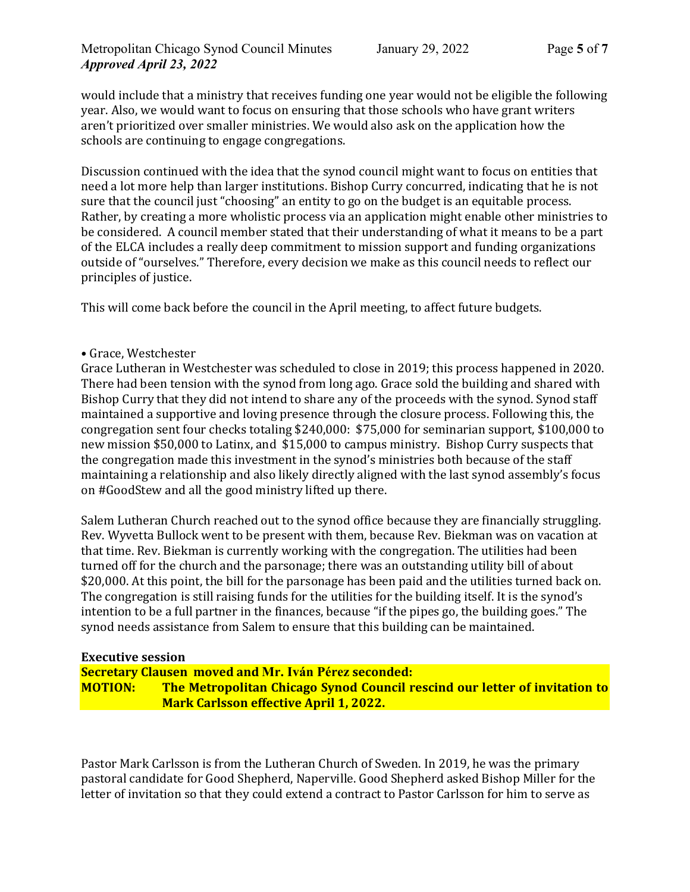would include that a ministry that receives funding one year would not be eligible the following year. Also, we would want to focus on ensuring that those schools who have grant writers aren't prioritized over smaller ministries. We would also ask on the application how the schools are continuing to engage congregations.

Discussion continued with the idea that the synod council might want to focus on entities that need a lot more help than larger institutions. Bishop Curry concurred, indicating that he is not sure that the council just "choosing" an entity to go on the budget is an equitable process. Rather, by creating a more wholistic process via an application might enable other ministries to be considered. A council member stated that their understanding of what it means to be a part of the ELCA includes a really deep commitment to mission support and funding organizations outside of "ourselves." Therefore, every decision we make as this council needs to reflect our principles of justice.

This will come back before the council in the April meeting, to affect future budgets.

#### • Grace, Westchester

Grace Lutheran in Westchester was scheduled to close in 2019; this process happened in 2020. There had been tension with the synod from long ago. Grace sold the building and shared with Bishop Curry that they did not intend to share any of the proceeds with the synod. Synod staff maintained a supportive and loving presence through the closure process. Following this, the congregation sent four checks totaling \$240,000: \$75,000 for seminarian support, \$100,000 to new mission \$50,000 to Latinx, and \$15,000 to campus ministry. Bishop Curry suspects that the congregation made this investment in the synod's ministries both because of the staff maintaining a relationship and also likely directly aligned with the last synod assembly's focus on #GoodStew and all the good ministry lifted up there.

Salem Lutheran Church reached out to the synod office because they are financially struggling. Rev. Wyvetta Bullock went to be present with them, because Rev. Biekman was on vacation at that time. Rev. Biekman is currently working with the congregation. The utilities had been turned off for the church and the parsonage; there was an outstanding utility bill of about \$20,000. At this point, the bill for the parsonage has been paid and the utilities turned back on. The congregation is still raising funds for the utilities for the building itself. It is the synod's intention to be a full partner in the finances, because "if the pipes go, the building goes." The synod needs assistance from Salem to ensure that this building can be maintained.

#### **Executive session**

**Secretary Clausen moved and Mr. Iván Pérez seconded: MOTION: The Metropolitan Chicago Synod Council rescind our letter of invitation to Mark Carlsson effective April 1, 2022.** 

Pastor Mark Carlsson is from the Lutheran Church of Sweden. In 2019, he was the primary pastoral candidate for Good Shepherd, Naperville. Good Shepherd asked Bishop Miller for the letter of invitation so that they could extend a contract to Pastor Carlsson for him to serve as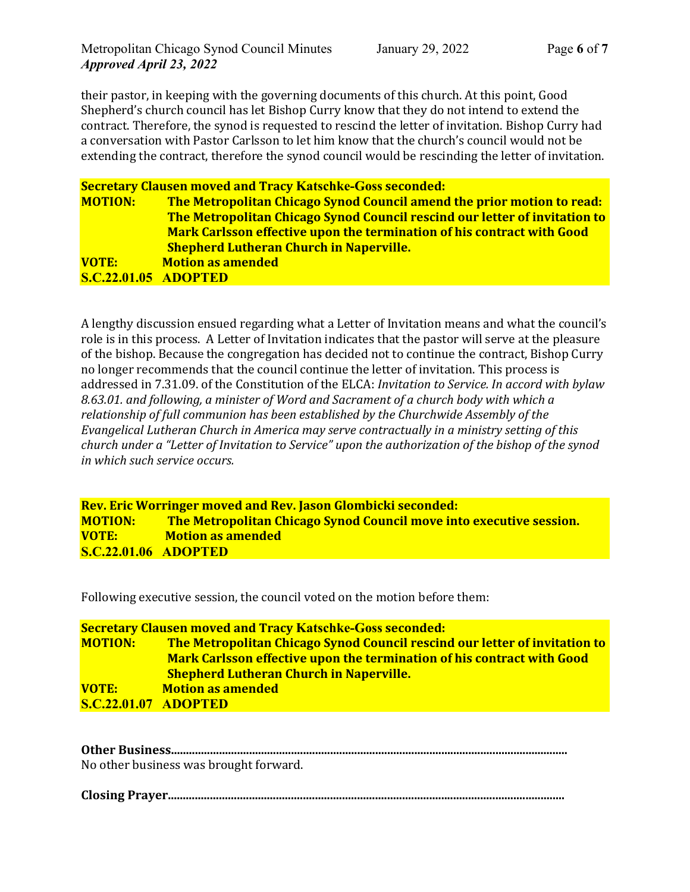their pastor, in keeping with the governing documents of this church. At this point, Good Shepherd's church council has let Bishop Curry know that they do not intend to extend the contract. Therefore, the synod is requested to rescind the letter of invitation. Bishop Curry had a conversation with Pastor Carlsson to let him know that the church's council would not be extending the contract, therefore the synod council would be rescinding the letter of invitation.

**Secretary Clausen moved and Tracy Katschke-Goss seconded: MOTION: The Metropolitan Chicago Synod Council amend the prior motion to read: The Metropolitan Chicago Synod Council rescind our letter of invitation to Mark Carlsson effective upon the termination of his contract with Good Shepherd Lutheran Church in Naperville. VOTE: Motion as amended S.C.22.01.05 ADOPTED**

A lengthy discussion ensued regarding what a Letter of Invitation means and what the council's role is in this process. A Letter of Invitation indicates that the pastor will serve at the pleasure of the bishop. Because the congregation has decided not to continue the contract, Bishop Curry no longer recommends that the council continue the letter of invitation. This process is addressed in 7.31.09. of the Constitution of the ELCA: *Invitation to Service. In accord with bylaw 8.63.01. and following, a minister of Word and Sacrament of a church body with which a relationship of full communion has been established by the Churchwide Assembly of the Evangelical Lutheran Church in America may serve contractually in a ministry setting of this church under a "Letter of Invitation to Service" upon the authorization of the bishop of the synod in which such service occurs.*

#### **Rev. Eric Worringer moved and Rev. Jason Glombicki seconded: MOTION: The Metropolitan Chicago Synod Council move into executive session. VOTE: Motion as amended S.C.22.01.06 ADOPTED**

Following executive session, the council voted on the motion before them:

| <b>Secretary Clausen moved and Tracy Katschke-Goss seconded:</b> |                                                                               |  |  |
|------------------------------------------------------------------|-------------------------------------------------------------------------------|--|--|
| <b>MOTION:</b>                                                   | The Metropolitan Chicago Synod Council rescind our letter of invitation to    |  |  |
|                                                                  | <b>Mark Carlsson effective upon the termination of his contract with Good</b> |  |  |
|                                                                  | <b>Shepherd Lutheran Church in Naperville.</b>                                |  |  |
| <b>VOTE:</b>                                                     | <b>Motion as amended</b>                                                      |  |  |
| <b>S.C.22.01.07 ADOPTED</b>                                      |                                                                               |  |  |

| No other business was brought forward. |
|----------------------------------------|

**Closing Prayer....................................................................................................................................**